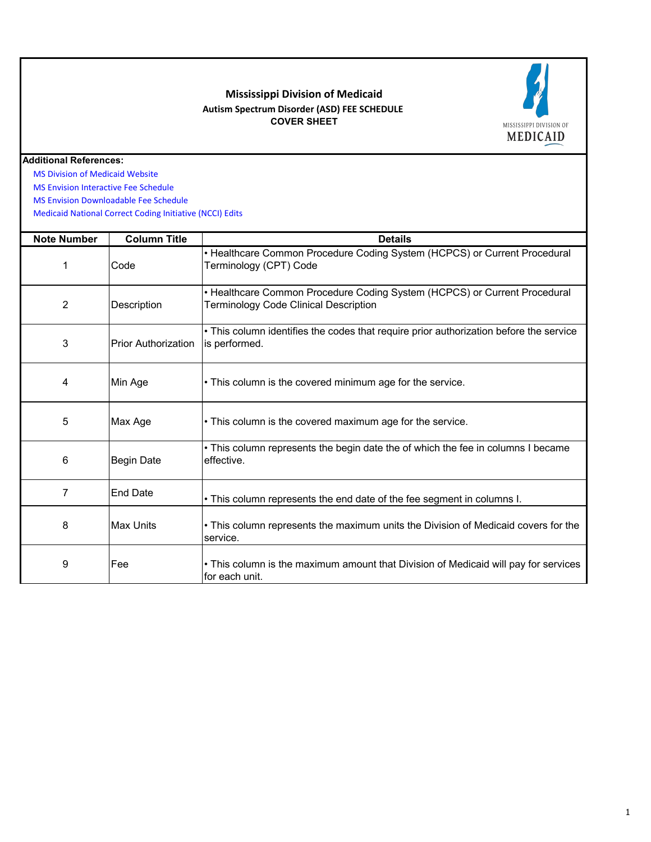## **Mississippi Division of Medicaid Autism Spectrum Disorder (ASD) FEE SCHEDULE COVER SHEET**



## **Additional References:**

 [MS Division of Medi](https://medicaid.ms.gov/)caid Website

 [MS Envision Interact](https://www.ms-medicaid.com/msenvision/feeScheduleInquiry.do)ive Fee Schedule

 [MS Envision Downlo](https://www.ms-medicaid.com/msenvision/AMA_ADA_licenseAgreement.do?strUrl=feeScheduleInquiry)adable Fee Schedule

 [Medicaid National C](https://www.medicaid.gov/medicaid/program-integrity/national-correct-coding-initiative/medicaid-ncci-edit-files/index.html)orrect Coding Initiative (NCCI) Edits

| <b>Note Number</b> | <b>Column Title</b>        | <b>Details</b>                                                                                                     |
|--------------------|----------------------------|--------------------------------------------------------------------------------------------------------------------|
| 1                  | Code                       | • Healthcare Common Procedure Coding System (HCPCS) or Current Procedural<br>Terminology (CPT) Code                |
| $\overline{2}$     | Description                | • Healthcare Common Procedure Coding System (HCPCS) or Current Procedural<br>Terminology Code Clinical Description |
| 3                  | <b>Prior Authorization</b> | • This column identifies the codes that require prior authorization before the service<br>is performed.            |
| 4                  | Min Age                    | • This column is the covered minimum age for the service.                                                          |
| 5                  | Max Age                    | • This column is the covered maximum age for the service.                                                          |
| 6                  | <b>Begin Date</b>          | • This column represents the begin date the of which the fee in columns I became<br>effective.                     |
| 7                  | <b>End Date</b>            | • This column represents the end date of the fee segment in columns I.                                             |
| 8                  | Max Units                  | • This column represents the maximum units the Division of Medicaid covers for the<br>service.                     |
| 9                  | Fee                        | • This column is the maximum amount that Division of Medicaid will pay for services<br>for each unit.              |